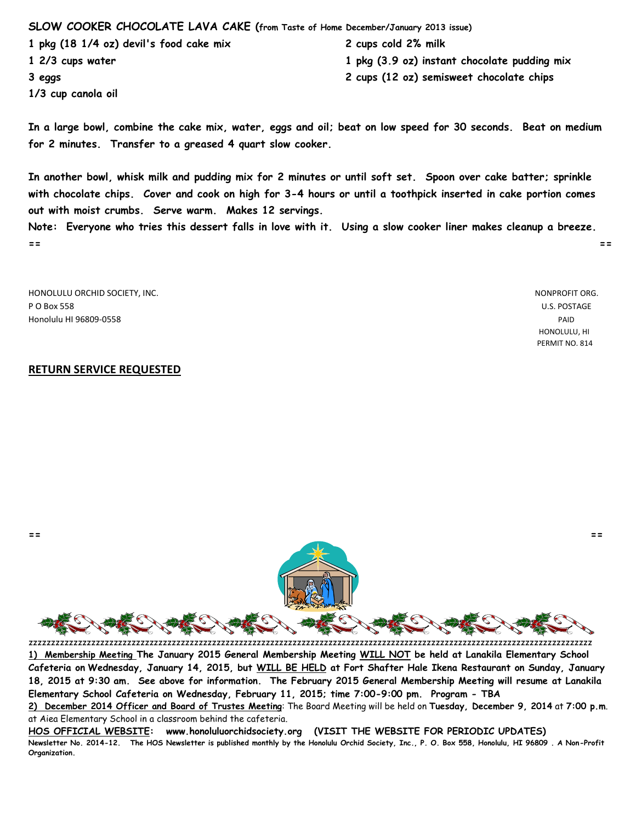## **SLOW COOKER CHOCOLATE LAVA CAKE (from Taste of Home December/January 2013 issue)**

**1 pkg (18 1/4 oz) devil's food cake mix 2 cups cold 2% milk**

**1/3 cup canola oil**

**1 2/3 cups water 1 pkg (3.9 oz) instant chocolate pudding mix**

**3 eggs 2 cups (12 oz) semisweet chocolate chips**

**In a large bowl, combine the cake mix, water, eggs and oil; beat on low speed for 30 seconds. Beat on medium for 2 minutes. Transfer to a greased 4 quart slow cooker.**

**In another bowl, whisk milk and pudding mix for 2 minutes or until soft set. Spoon over cake batter; sprinkle with chocolate chips. Cover and cook on high for 3-4 hours or until a toothpick inserted in cake portion comes out with moist crumbs. Serve warm. Makes 12 servings.**

**Note: Everyone who tries this dessert falls in love with it. Using a slow cooker liner makes cleanup a breeze. == ==**

HONOLULU ORCHID SOCIETY, INC. NONPROFIT ORG. P O Box 558 U.S. POSTAGE Honolulu HI 96809-0558 PAID

 HONOLULU, HI PERMIT NO. 814

## **RETURN SERVICE REQUESTED**



zzzzzzzzzzzzzzzzzzzzzzzzzzzzzzzzzzzzzzzzzzzzzzzzzzzzzzzzzzzzzzzzzzzzzzzzzzzzzzzzzzzzzzzzzzzzzzzzzzzzzzzzzzzzzzzzzzzzzzzzzzzzzz **1) Membership Meeting The January 2015 General Membership Meeting WILL NOT be held at Lanakila Elementary School Cafeteria on Wednesday, January 14, 2015, but WILL BE HELD at Fort Shafter Hale Ikena Restaurant on Sunday, January 18, 2015 at 9:30 am. See above for information. The February 2015 General Membership Meeting will resume at Lanakila Elementary School Cafeteria on Wednesday, February 11, 2015; time 7:00-9:00 pm. Program - TBA**

**HOS OFFICIAL WEBSITE: www.honoluluorchidsociety.org (VISIT THE WEBSITE FOR PERIODIC UPDATES) Newsletter No. 2014-12. The HOS Newsletter is published monthly by the Honolulu Orchid Society, Inc., P. O. Box 558, Honolulu, HI 96809 . A Non-Profit Organization.**

**<sup>2)</sup> December 2014 Officer and Board of Trustes Meeting**: The Board Meeting will be held on **Tuesday, December 9, 2014** at **7:00 p.m**. at Aiea Elementary School in a classroom behind the cafeteria.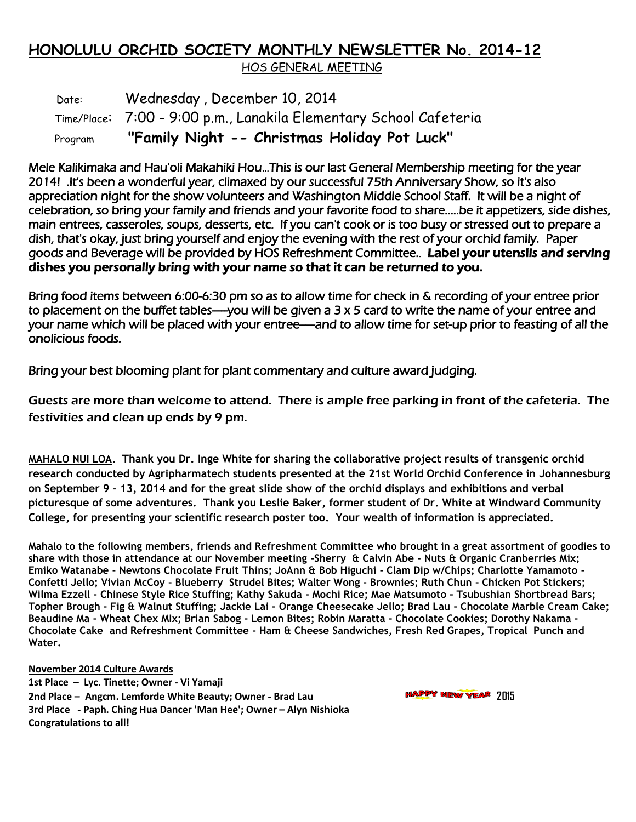## **HONOLULU ORCHID SOCIETY MONTHLY NEWSLETTER No. 2014-12** HOS GENERAL MEETING

Date: Wednesday, December 10, 2014 Time/Place: 7:00 - 9:00 p.m., Lanakila Elementary School Cafeteria Program **"Family Night -- Christmas Holiday Pot Luck"**

Mele Kalikimaka and Hau'oli Makahiki Hou...This is our last General Membership meeting for the year 2014! .It's been a wonderful year, climaxed by our successful 75th Anniversary Show, so it's also appreciation night for the show volunteers and Washington Middle School Staff. It will be a night of celebration, so bring your family and friends and your favorite food to share.....be it appetizers, side dishes, main entrees, casseroles, soups, desserts, etc. If you can't cook or is too busy or stressed out to prepare a dish, that's okay, just bring yourself and enjoy the evening with the rest of your orchid family. Paper goods and Beverage will be provided by HOS Refreshment Committee.. Label your utensils and serving dishes you personally bring with your name so that it can be returned to you.

Bring food items between 6:00-6:30 pm so as to allow time for check in & recording of your entree prior to placement on the buffet tables----you will be given a  $3 \times 5$  card to write the name of your entree and your name which will be placed with your entree—and to allow time for set-up prior to feasting of all the onolicious foods.

Bring your best blooming plant for plant commentary and culture award judging.

Guests are more than welcome to attend. There is ample free parking in front of the cafeteria. The festivities and clean up ends by 9 pm.

**MAHALO NUI LOA. Thank you Dr. Inge White for sharing the collaborative project results of transgenic orchid research conducted by Agripharmatech students presented at the 21st World Orchid Conference in Johannesburg on September 9 – 13, 2014 and for the great slide show of the orchid displays and exhibitions and verbal picturesque of some adventures. Thank you Leslie Baker, former student of Dr. White at Windward Community College, for presenting your scientific research poster too. Your wealth of information is appreciated.**

**Mahalo to the following members, friends and Refreshment Committee who brought in a great assortment of goodies to share with those in attendance at our November meeting -Sherry & Calvin Abe - Nuts & Organic Cranberries Mix; Emiko Watanabe - Newtons Chocolate Fruit Thins; JoAnn & Bob Higuchi - Clam Dip w/Chips; Charlotte Yamamoto - Confetti Jello; Vivian McCoy - Blueberry Strudel Bites; Walter Wong - Brownies; Ruth Chun - Chicken Pot Stickers; Wilma Ezzell - Chinese Style Rice Stuffing; Kathy Sakuda - Mochi Rice; Mae Matsumoto - Tsubushian Shortbread Bars; Topher Brough - Fig & Walnut Stuffing; Jackie Lai - Orange Cheesecake Jello; Brad Lau - Chocolate Marble Cream Cake; Beaudine Ma - Wheat Chex MIx; Brian Sabog - Lemon Bites; Robin Maratta - Chocolate Cookies; Dorothy Nakama - Chocolate Cake and Refreshment Committee - Ham & Cheese Sandwiches, Fresh Red Grapes, Tropical Punch and Water.**

**November 2014 Culture Awards 1st Place – Lyc. Tinette; Owner - Vi Yamaji 2nd Place – Angcm. Lemforde White Beauty; Owner - Brad Lau 2015 3rd Place - Paph. Ching Hua Dancer 'Man Hee'; Owner – Alyn Nishioka Congratulations to all!**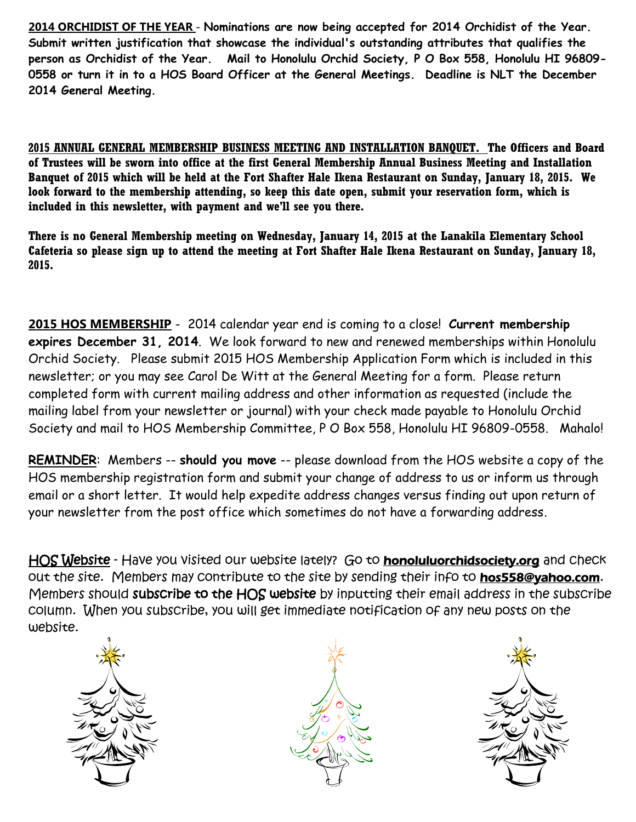**2014 ORCHIDIST OF THE YEAR** - **Nominations are now being accepted for 2014 Orchidist of the Year. Submit written justification that showcase the individual's outstanding attributes that qualifies the person as Orchidist of the Year. Mail to Honolulu Orchid Society, P O Box 558, Honolulu HI 96809- 0558 or turn it in to a HOS Board Officer at the General Meetings. Deadline is NLT the December 2014 General Meeting.**

**2015 ANNUAL GENERAL MEMBERSHIP BUSINESS MEETING AND INSTALLATION BANQUET. The Officers and Board of Trustees will be sworn into office at the first General Membership Annual Business Meeting and Installation Banquet of 2015 which will be held at the Fort Shafter Hale Ikena Restaurant on Sunday, January 18, 2015. We look forward to the membership attending, so keep this date open, submit your reservation form, which is included in this newsletter, with payment and we'll see you there.**

**There is no General Membership meeting on Wednesday, January 14, 2015 at the Lanakila Elementary School Cafeteria so please sign up to attend the meeting at Fort Shafter Hale Ikena Restaurant on Sunday, January 18, 2015.**

**2015 HOS MEMBERSHIP** - 2014 calendar year end is coming to a close! **Current membership expires December 31, 2014**. We look forward to new and renewed memberships within Honolulu Orchid Society. Please submit 2015 HOS Membership Application Form which is included in this newsletter; or you may see Carol De Witt at the General Meeting for a form. Please return completed form with current mailing address and other information as requested (include the mailing label from your newsletter or journal) with your check made payable to Honolulu Orchid Society and mail to HOS Membership Committee, P O Box 558, Honolulu HI 96809-0558. Mahalo!

**REMINDER**: Members -- **should you move** -- please download from the HOS website a copy of the HOS membership registration form and submit your change of address to us or inform us through email or a short letter. It would help expedite address changes versus finding out upon return of your newsletter from the post office which sometimes do not have a forwarding address.

HOS Website - Have you visited our website lately? Go to **honoluluorchidsociety.org** and Check out the site. Members may contribute to the site by sending their info to hos558@yahoo.com. Members should subscribe to the HOS website by inputting their email address in the subscribe column. When you subscribe, you will get immediate notification of any new posts on the website.